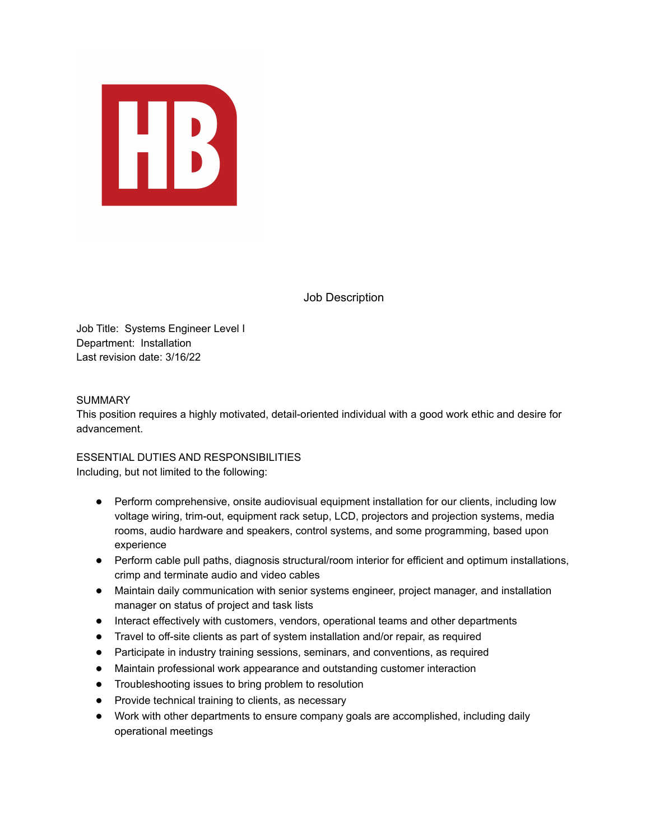

Job Description

Job Title: Systems Engineer Level I Department: Installation Last revision date: 3/16/22

#### **SUMMARY**

This position requires a highly motivated, detail-oriented individual with a good work ethic and desire for advancement.

ESSENTIAL DUTIES AND RESPONSIBILITIES Including, but not limited to the following:

- Perform comprehensive, onsite audiovisual equipment installation for our clients, including low voltage wiring, trim-out, equipment rack setup, LCD, projectors and projection systems, media rooms, audio hardware and speakers, control systems, and some programming, based upon experience
- Perform cable pull paths, diagnosis structural/room interior for efficient and optimum installations, crimp and terminate audio and video cables
- Maintain daily communication with senior systems engineer, project manager, and installation manager on status of project and task lists
- Interact effectively with customers, vendors, operational teams and other departments
- Travel to off-site clients as part of system installation and/or repair, as required
- Participate in industry training sessions, seminars, and conventions, as required
- Maintain professional work appearance and outstanding customer interaction
- Troubleshooting issues to bring problem to resolution
- Provide technical training to clients, as necessary
- Work with other departments to ensure company goals are accomplished, including daily operational meetings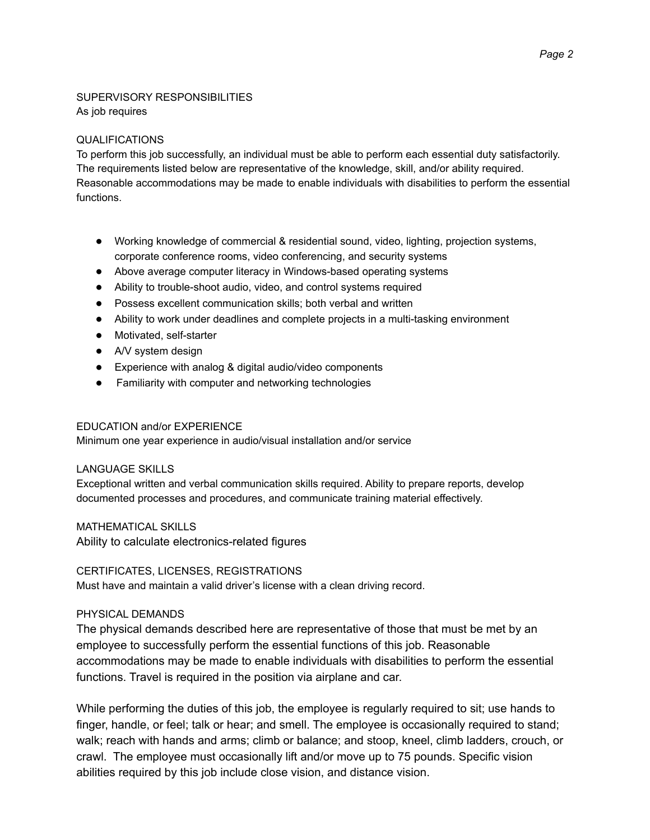# SUPERVISORY RESPONSIBILITIES As job requires

#### QUALIFICATIONS

To perform this job successfully, an individual must be able to perform each essential duty satisfactorily. The requirements listed below are representative of the knowledge, skill, and/or ability required. Reasonable accommodations may be made to enable individuals with disabilities to perform the essential functions.

- Working knowledge of commercial & residential sound, video, lighting, projection systems, corporate conference rooms, video conferencing, and security systems
- Above average computer literacy in Windows-based operating systems
- Ability to trouble-shoot audio, video, and control systems required
- Possess excellent communication skills; both verbal and written
- Ability to work under deadlines and complete projects in a multi-tasking environment
- Motivated, self-starter
- A/V system design
- Experience with analog & digital audio/video components
- Familiarity with computer and networking technologies

#### EDUCATION and/or EXPERIENCE

Minimum one year experience in audio/visual installation and/or service

## LANGUAGE SKILLS

Exceptional written and verbal communication skills required. Ability to prepare reports, develop documented processes and procedures, and communicate training material effectively.

MATHEMATICAL SKILLS

Ability to calculate electronics-related figures

## CERTIFICATES, LICENSES, REGISTRATIONS

Must have and maintain a valid driver's license with a clean driving record.

## PHYSICAL DEMANDS

The physical demands described here are representative of those that must be met by an employee to successfully perform the essential functions of this job. Reasonable accommodations may be made to enable individuals with disabilities to perform the essential functions. Travel is required in the position via airplane and car.

While performing the duties of this job, the employee is regularly required to sit; use hands to finger, handle, or feel; talk or hear; and smell. The employee is occasionally required to stand; walk; reach with hands and arms; climb or balance; and stoop, kneel, climb ladders, crouch, or crawl. The employee must occasionally lift and/or move up to 75 pounds. Specific vision abilities required by this job include close vision, and distance vision.